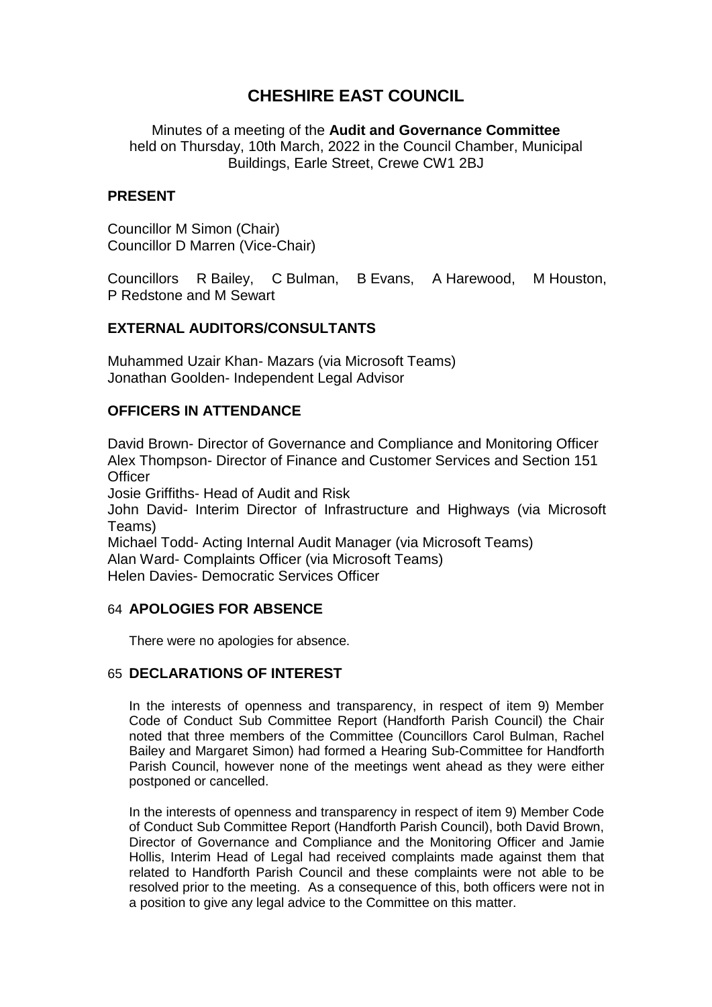# **CHESHIRE EAST COUNCIL**

Minutes of a meeting of the **Audit and Governance Committee** held on Thursday, 10th March, 2022 in the Council Chamber, Municipal Buildings, Earle Street, Crewe CW1 2BJ

### **PRESENT**

Councillor M Simon (Chair) Councillor D Marren (Vice-Chair)

Councillors R Bailey, C Bulman, B Evans, A Harewood, M Houston, P Redstone and M Sewart

# **EXTERNAL AUDITORS/CONSULTANTS**

Muhammed Uzair Khan- Mazars (via Microsoft Teams) Jonathan Goolden- Independent Legal Advisor

# **OFFICERS IN ATTENDANCE**

David Brown- Director of Governance and Compliance and Monitoring Officer Alex Thompson- Director of Finance and Customer Services and Section 151 **Officer** 

Josie Griffiths- Head of Audit and Risk

John David- Interim Director of Infrastructure and Highways (via Microsoft Teams)

Michael Todd- Acting Internal Audit Manager (via Microsoft Teams) Alan Ward- Complaints Officer (via Microsoft Teams) Helen Davies- Democratic Services Officer

# 64 **APOLOGIES FOR ABSENCE**

There were no apologies for absence.

# 65 **DECLARATIONS OF INTEREST**

In the interests of openness and transparency, in respect of item 9) Member Code of Conduct Sub Committee Report (Handforth Parish Council) the Chair noted that three members of the Committee (Councillors Carol Bulman, Rachel Bailey and Margaret Simon) had formed a Hearing Sub-Committee for Handforth Parish Council, however none of the meetings went ahead as they were either postponed or cancelled.

In the interests of openness and transparency in respect of item 9) Member Code of Conduct Sub Committee Report (Handforth Parish Council), both David Brown, Director of Governance and Compliance and the Monitoring Officer and Jamie Hollis, Interim Head of Legal had received complaints made against them that related to Handforth Parish Council and these complaints were not able to be resolved prior to the meeting. As a consequence of this, both officers were not in a position to give any legal advice to the Committee on this matter.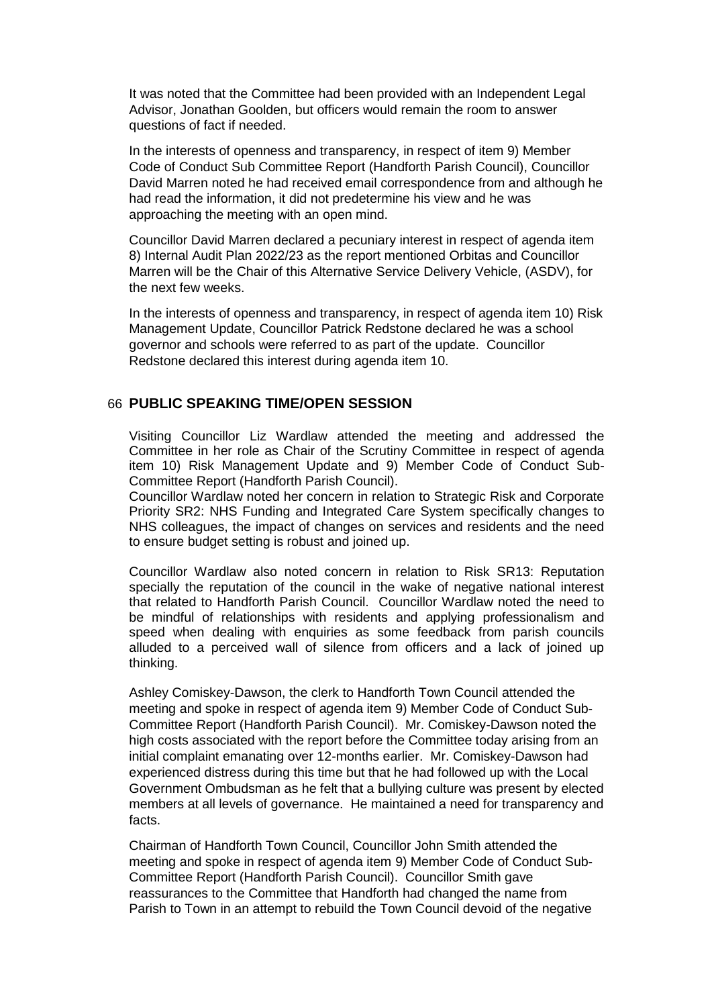It was noted that the Committee had been provided with an Independent Legal Advisor, Jonathan Goolden, but officers would remain the room to answer questions of fact if needed.

In the interests of openness and transparency, in respect of item 9) Member Code of Conduct Sub Committee Report (Handforth Parish Council), Councillor David Marren noted he had received email correspondence from and although he had read the information, it did not predetermine his view and he was approaching the meeting with an open mind.

Councillor David Marren declared a pecuniary interest in respect of agenda item 8) Internal Audit Plan 2022/23 as the report mentioned Orbitas and Councillor Marren will be the Chair of this Alternative Service Delivery Vehicle, (ASDV), for the next few weeks.

In the interests of openness and transparency, in respect of agenda item 10) Risk Management Update, Councillor Patrick Redstone declared he was a school governor and schools were referred to as part of the update. Councillor Redstone declared this interest during agenda item 10.

#### 66 **PUBLIC SPEAKING TIME/OPEN SESSION**

Visiting Councillor Liz Wardlaw attended the meeting and addressed the Committee in her role as Chair of the Scrutiny Committee in respect of agenda item 10) Risk Management Update and 9) Member Code of Conduct Sub-Committee Report (Handforth Parish Council).

Councillor Wardlaw noted her concern in relation to Strategic Risk and Corporate Priority SR2: NHS Funding and Integrated Care System specifically changes to NHS colleagues, the impact of changes on services and residents and the need to ensure budget setting is robust and joined up.

Councillor Wardlaw also noted concern in relation to Risk SR13: Reputation specially the reputation of the council in the wake of negative national interest that related to Handforth Parish Council. Councillor Wardlaw noted the need to be mindful of relationships with residents and applying professionalism and speed when dealing with enquiries as some feedback from parish councils alluded to a perceived wall of silence from officers and a lack of joined up thinking.

Ashley Comiskey-Dawson, the clerk to Handforth Town Council attended the meeting and spoke in respect of agenda item 9) Member Code of Conduct Sub-Committee Report (Handforth Parish Council). Mr. Comiskey-Dawson noted the high costs associated with the report before the Committee today arising from an initial complaint emanating over 12-months earlier. Mr. Comiskey-Dawson had experienced distress during this time but that he had followed up with the Local Government Ombudsman as he felt that a bullying culture was present by elected members at all levels of governance. He maintained a need for transparency and facts.

Chairman of Handforth Town Council, Councillor John Smith attended the meeting and spoke in respect of agenda item 9) Member Code of Conduct Sub-Committee Report (Handforth Parish Council). Councillor Smith gave reassurances to the Committee that Handforth had changed the name from Parish to Town in an attempt to rebuild the Town Council devoid of the negative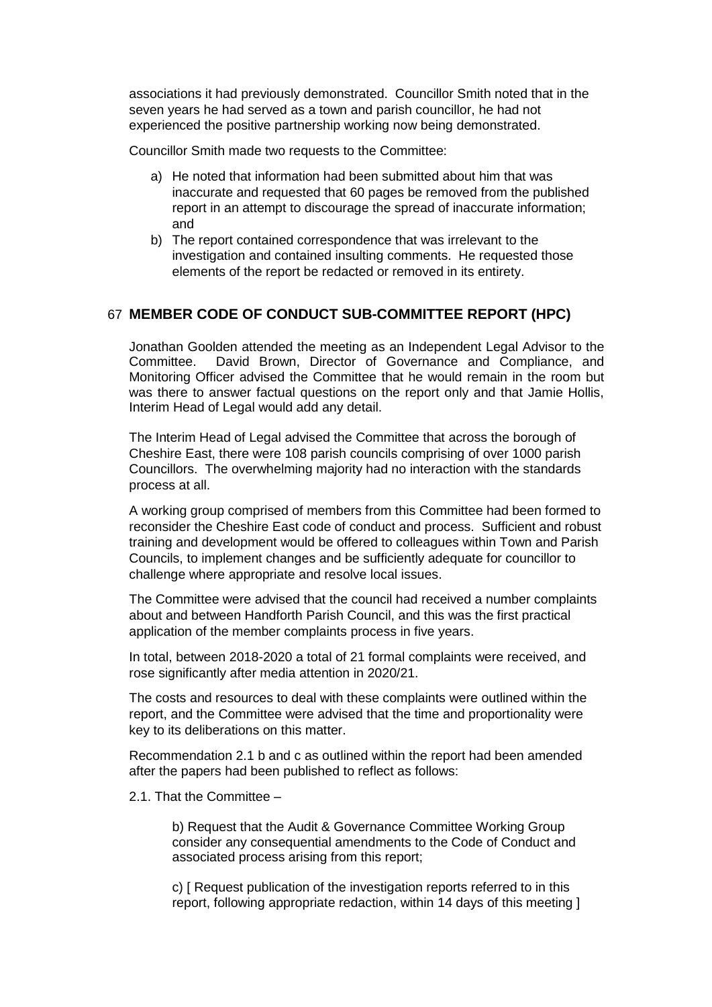associations it had previously demonstrated. Councillor Smith noted that in the seven years he had served as a town and parish councillor, he had not experienced the positive partnership working now being demonstrated.

Councillor Smith made two requests to the Committee:

- a) He noted that information had been submitted about him that was inaccurate and requested that 60 pages be removed from the published report in an attempt to discourage the spread of inaccurate information; and
- b) The report contained correspondence that was irrelevant to the investigation and contained insulting comments. He requested those elements of the report be redacted or removed in its entirety.

# 67 **MEMBER CODE OF CONDUCT SUB-COMMITTEE REPORT (HPC)**

Jonathan Goolden attended the meeting as an Independent Legal Advisor to the Committee. David Brown, Director of Governance and Compliance, and Monitoring Officer advised the Committee that he would remain in the room but was there to answer factual questions on the report only and that Jamie Hollis, Interim Head of Legal would add any detail.

The Interim Head of Legal advised the Committee that across the borough of Cheshire East, there were 108 parish councils comprising of over 1000 parish Councillors. The overwhelming majority had no interaction with the standards process at all.

A working group comprised of members from this Committee had been formed to reconsider the Cheshire East code of conduct and process. Sufficient and robust training and development would be offered to colleagues within Town and Parish Councils, to implement changes and be sufficiently adequate for councillor to challenge where appropriate and resolve local issues.

The Committee were advised that the council had received a number complaints about and between Handforth Parish Council, and this was the first practical application of the member complaints process in five years.

In total, between 2018-2020 a total of 21 formal complaints were received, and rose significantly after media attention in 2020/21.

The costs and resources to deal with these complaints were outlined within the report, and the Committee were advised that the time and proportionality were key to its deliberations on this matter.

Recommendation 2.1 b and c as outlined within the report had been amended after the papers had been published to reflect as follows:

2.1. That the Committee –

b) Request that the Audit & Governance Committee Working Group consider any consequential amendments to the Code of Conduct and associated process arising from this report;

c) [ Request publication of the investigation reports referred to in this report, following appropriate redaction, within 14 days of this meeting ]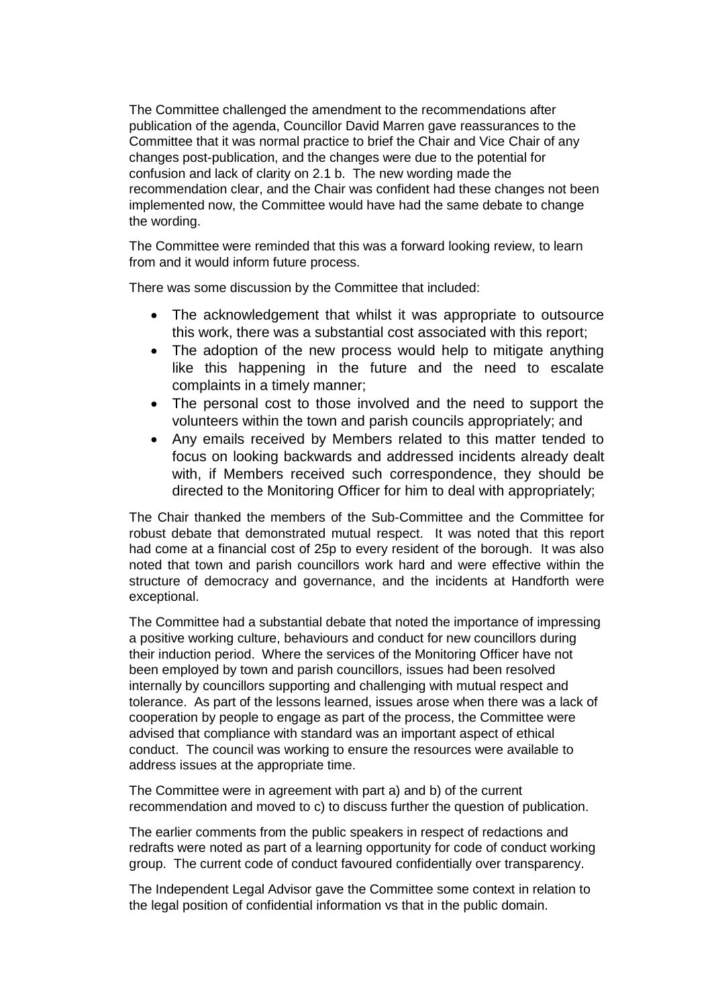The Committee challenged the amendment to the recommendations after publication of the agenda, Councillor David Marren gave reassurances to the Committee that it was normal practice to brief the Chair and Vice Chair of any changes post-publication, and the changes were due to the potential for confusion and lack of clarity on 2.1 b. The new wording made the recommendation clear, and the Chair was confident had these changes not been implemented now, the Committee would have had the same debate to change the wording.

The Committee were reminded that this was a forward looking review, to learn from and it would inform future process.

There was some discussion by the Committee that included:

- The acknowledgement that whilst it was appropriate to outsource this work, there was a substantial cost associated with this report;
- The adoption of the new process would help to mitigate anything like this happening in the future and the need to escalate complaints in a timely manner;
- The personal cost to those involved and the need to support the volunteers within the town and parish councils appropriately; and
- Any emails received by Members related to this matter tended to focus on looking backwards and addressed incidents already dealt with, if Members received such correspondence, they should be directed to the Monitoring Officer for him to deal with appropriately;

The Chair thanked the members of the Sub-Committee and the Committee for robust debate that demonstrated mutual respect. It was noted that this report had come at a financial cost of 25p to every resident of the borough. It was also noted that town and parish councillors work hard and were effective within the structure of democracy and governance, and the incidents at Handforth were exceptional.

The Committee had a substantial debate that noted the importance of impressing a positive working culture, behaviours and conduct for new councillors during their induction period. Where the services of the Monitoring Officer have not been employed by town and parish councillors, issues had been resolved internally by councillors supporting and challenging with mutual respect and tolerance. As part of the lessons learned, issues arose when there was a lack of cooperation by people to engage as part of the process, the Committee were advised that compliance with standard was an important aspect of ethical conduct. The council was working to ensure the resources were available to address issues at the appropriate time.

The Committee were in agreement with part a) and b) of the current recommendation and moved to c) to discuss further the question of publication.

The earlier comments from the public speakers in respect of redactions and redrafts were noted as part of a learning opportunity for code of conduct working group. The current code of conduct favoured confidentially over transparency.

The Independent Legal Advisor gave the Committee some context in relation to the legal position of confidential information vs that in the public domain.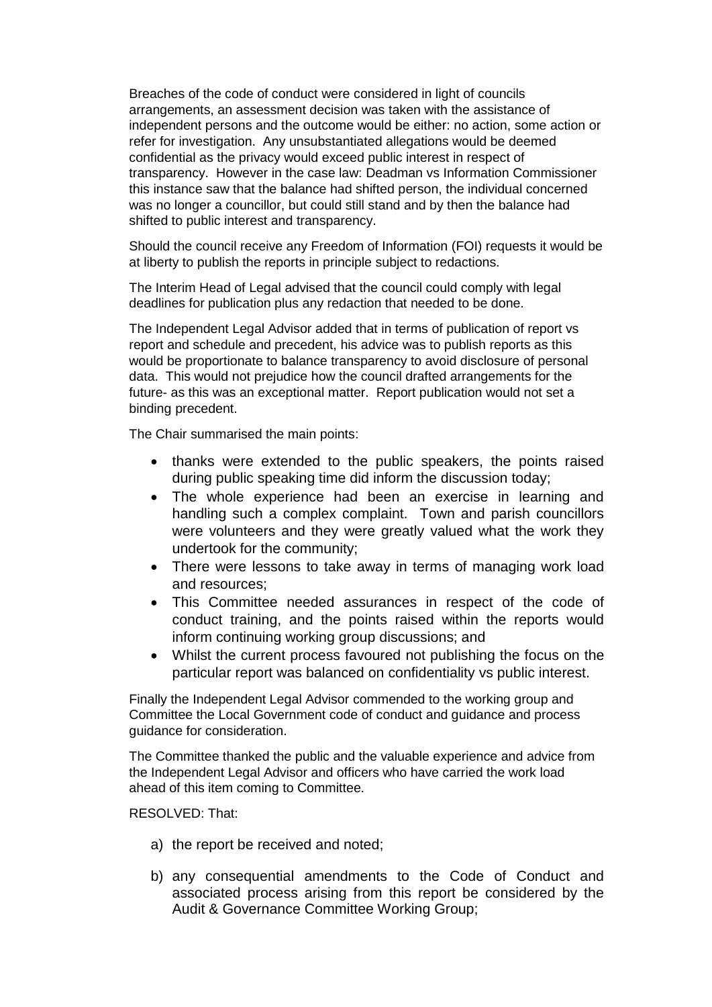Breaches of the code of conduct were considered in light of councils arrangements, an assessment decision was taken with the assistance of independent persons and the outcome would be either: no action, some action or refer for investigation. Any unsubstantiated allegations would be deemed confidential as the privacy would exceed public interest in respect of transparency. However in the case law: Deadman vs Information Commissioner this instance saw that the balance had shifted person, the individual concerned was no longer a councillor, but could still stand and by then the balance had shifted to public interest and transparency.

Should the council receive any Freedom of Information (FOI) requests it would be at liberty to publish the reports in principle subject to redactions.

The Interim Head of Legal advised that the council could comply with legal deadlines for publication plus any redaction that needed to be done.

The Independent Legal Advisor added that in terms of publication of report vs report and schedule and precedent, his advice was to publish reports as this would be proportionate to balance transparency to avoid disclosure of personal data. This would not prejudice how the council drafted arrangements for the future- as this was an exceptional matter. Report publication would not set a binding precedent.

The Chair summarised the main points:

- thanks were extended to the public speakers, the points raised during public speaking time did inform the discussion today;
- The whole experience had been an exercise in learning and handling such a complex complaint. Town and parish councillors were volunteers and they were greatly valued what the work they undertook for the community;
- There were lessons to take away in terms of managing work load and resources;
- This Committee needed assurances in respect of the code of conduct training, and the points raised within the reports would inform continuing working group discussions; and
- Whilst the current process favoured not publishing the focus on the particular report was balanced on confidentiality vs public interest.

Finally the Independent Legal Advisor commended to the working group and Committee the Local Government code of conduct and guidance and process guidance for consideration.

The Committee thanked the public and the valuable experience and advice from the Independent Legal Advisor and officers who have carried the work load ahead of this item coming to Committee.

RESOLVED: That:

- a) the report be received and noted;
- b) any consequential amendments to the Code of Conduct and associated process arising from this report be considered by the Audit & Governance Committee Working Group;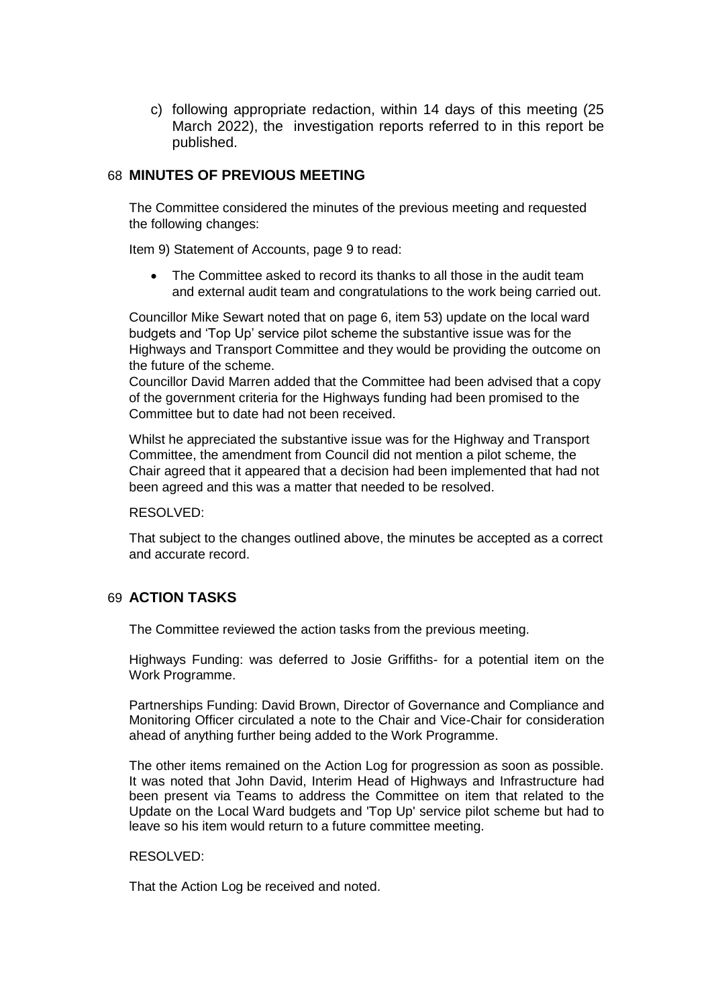c) following appropriate redaction, within 14 days of this meeting (25 March 2022), the investigation reports referred to in this report be published.

### 68 **MINUTES OF PREVIOUS MEETING**

The Committee considered the minutes of the previous meeting and requested the following changes:

Item 9) Statement of Accounts, page 9 to read:

 The Committee asked to record its thanks to all those in the audit team and external audit team and congratulations to the work being carried out.

Councillor Mike Sewart noted that on page 6, item 53) update on the local ward budgets and 'Top Up' service pilot scheme the substantive issue was for the Highways and Transport Committee and they would be providing the outcome on the future of the scheme.

Councillor David Marren added that the Committee had been advised that a copy of the government criteria for the Highways funding had been promised to the Committee but to date had not been received.

Whilst he appreciated the substantive issue was for the Highway and Transport Committee, the amendment from Council did not mention a pilot scheme, the Chair agreed that it appeared that a decision had been implemented that had not been agreed and this was a matter that needed to be resolved.

RESOLVED:

That subject to the changes outlined above, the minutes be accepted as a correct and accurate record.

# 69 **ACTION TASKS**

The Committee reviewed the action tasks from the previous meeting.

Highways Funding: was deferred to Josie Griffiths- for a potential item on the Work Programme.

Partnerships Funding: David Brown, Director of Governance and Compliance and Monitoring Officer circulated a note to the Chair and Vice-Chair for consideration ahead of anything further being added to the Work Programme.

The other items remained on the Action Log for progression as soon as possible. It was noted that John David, Interim Head of Highways and Infrastructure had been present via Teams to address the Committee on item that related to the Update on the Local Ward budgets and 'Top Up' service pilot scheme but had to leave so his item would return to a future committee meeting.

#### RESOLVED:

That the Action Log be received and noted.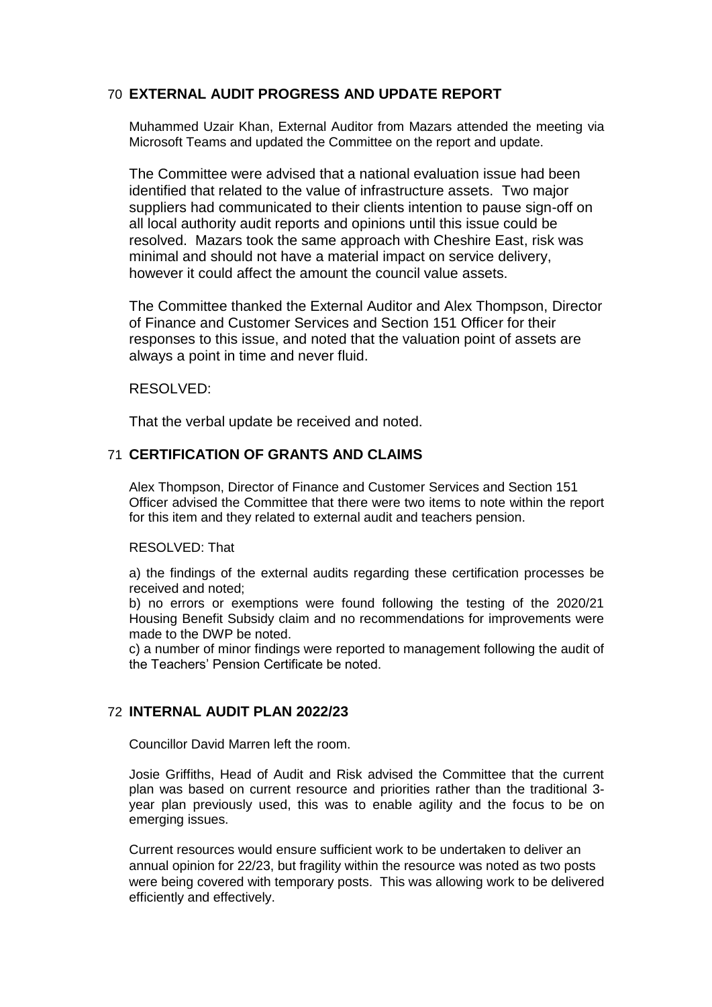# 70 **EXTERNAL AUDIT PROGRESS AND UPDATE REPORT**

Muhammed Uzair Khan, External Auditor from Mazars attended the meeting via Microsoft Teams and updated the Committee on the report and update.

The Committee were advised that a national evaluation issue had been identified that related to the value of infrastructure assets. Two major suppliers had communicated to their clients intention to pause sign-off on all local authority audit reports and opinions until this issue could be resolved. Mazars took the same approach with Cheshire East, risk was minimal and should not have a material impact on service delivery, however it could affect the amount the council value assets.

The Committee thanked the External Auditor and Alex Thompson, Director of Finance and Customer Services and Section 151 Officer for their responses to this issue, and noted that the valuation point of assets are always a point in time and never fluid.

#### RESOLVED:

That the verbal update be received and noted.

### 71 **CERTIFICATION OF GRANTS AND CLAIMS**

Alex Thompson, Director of Finance and Customer Services and Section 151 Officer advised the Committee that there were two items to note within the report for this item and they related to external audit and teachers pension.

#### RESOLVED: That

a) the findings of the external audits regarding these certification processes be received and noted;

b) no errors or exemptions were found following the testing of the 2020/21 Housing Benefit Subsidy claim and no recommendations for improvements were made to the DWP be noted.

c) a number of minor findings were reported to management following the audit of the Teachers' Pension Certificate be noted.

#### 72 **INTERNAL AUDIT PLAN 2022/23**

Councillor David Marren left the room.

Josie Griffiths, Head of Audit and Risk advised the Committee that the current plan was based on current resource and priorities rather than the traditional 3 year plan previously used, this was to enable agility and the focus to be on emerging issues.

Current resources would ensure sufficient work to be undertaken to deliver an annual opinion for 22/23, but fragility within the resource was noted as two posts were being covered with temporary posts. This was allowing work to be delivered efficiently and effectively.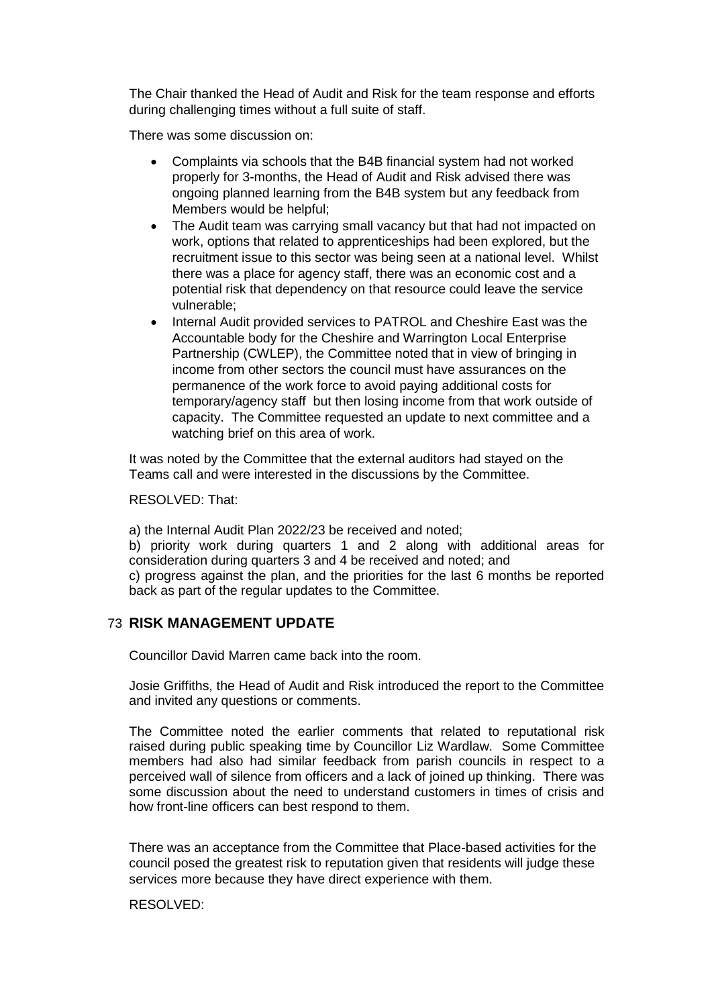The Chair thanked the Head of Audit and Risk for the team response and efforts during challenging times without a full suite of staff.

There was some discussion on:

- Complaints via schools that the B4B financial system had not worked properly for 3-months, the Head of Audit and Risk advised there was ongoing planned learning from the B4B system but any feedback from Members would be helpful;
- The Audit team was carrying small vacancy but that had not impacted on work, options that related to apprenticeships had been explored, but the recruitment issue to this sector was being seen at a national level. Whilst there was a place for agency staff, there was an economic cost and a potential risk that dependency on that resource could leave the service vulnerable;
- Internal Audit provided services to PATROL and Cheshire East was the Accountable body for the Cheshire and Warrington Local Enterprise Partnership (CWLEP), the Committee noted that in view of bringing in income from other sectors the council must have assurances on the permanence of the work force to avoid paying additional costs for temporary/agency staff but then losing income from that work outside of capacity. The Committee requested an update to next committee and a watching brief on this area of work.

It was noted by the Committee that the external auditors had stayed on the Teams call and were interested in the discussions by the Committee.

RESOLVED: That:

a) the Internal Audit Plan 2022/23 be received and noted;

b) priority work during quarters 1 and 2 along with additional areas for consideration during quarters 3 and 4 be received and noted; and c) progress against the plan, and the priorities for the last 6 months be reported back as part of the regular updates to the Committee.

#### 73 **RISK MANAGEMENT UPDATE**

Councillor David Marren came back into the room.

Josie Griffiths, the Head of Audit and Risk introduced the report to the Committee and invited any questions or comments.

The Committee noted the earlier comments that related to reputational risk raised during public speaking time by Councillor Liz Wardlaw. Some Committee members had also had similar feedback from parish councils in respect to a perceived wall of silence from officers and a lack of joined up thinking. There was some discussion about the need to understand customers in times of crisis and how front-line officers can best respond to them.

There was an acceptance from the Committee that Place-based activities for the council posed the greatest risk to reputation given that residents will judge these services more because they have direct experience with them.

#### RESOLVED: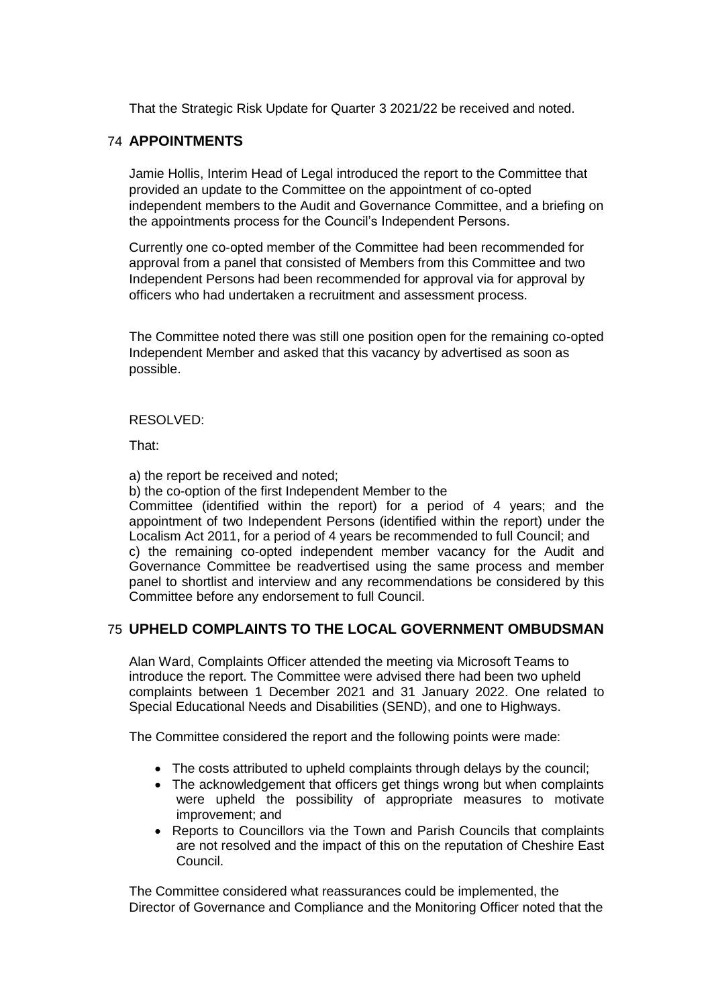That the Strategic Risk Update for Quarter 3 2021/22 be received and noted.

# 74 **APPOINTMENTS**

Jamie Hollis, Interim Head of Legal introduced the report to the Committee that provided an update to the Committee on the appointment of co-opted independent members to the Audit and Governance Committee, and a briefing on the appointments process for the Council's Independent Persons.

Currently one co-opted member of the Committee had been recommended for approval from a panel that consisted of Members from this Committee and two Independent Persons had been recommended for approval via for approval by officers who had undertaken a recruitment and assessment process.

The Committee noted there was still one position open for the remaining co-opted Independent Member and asked that this vacancy by advertised as soon as possible.

#### RESOLVED:

That:

a) the report be received and noted;

b) the co-option of the first Independent Member to the

Committee (identified within the report) for a period of 4 years; and the appointment of two Independent Persons (identified within the report) under the Localism Act 2011, for a period of 4 years be recommended to full Council; and c) the remaining co-opted independent member vacancy for the Audit and Governance Committee be readvertised using the same process and member panel to shortlist and interview and any recommendations be considered by this Committee before any endorsement to full Council.

# 75 **UPHELD COMPLAINTS TO THE LOCAL GOVERNMENT OMBUDSMAN**

Alan Ward, Complaints Officer attended the meeting via Microsoft Teams to introduce the report. The Committee were advised there had been two upheld complaints between 1 December 2021 and 31 January 2022. One related to Special Educational Needs and Disabilities (SEND), and one to Highways.

The Committee considered the report and the following points were made:

- The costs attributed to upheld complaints through delays by the council;
- The acknowledgement that officers get things wrong but when complaints were upheld the possibility of appropriate measures to motivate improvement; and
- Reports to Councillors via the Town and Parish Councils that complaints are not resolved and the impact of this on the reputation of Cheshire East Council.

The Committee considered what reassurances could be implemented, the Director of Governance and Compliance and the Monitoring Officer noted that the